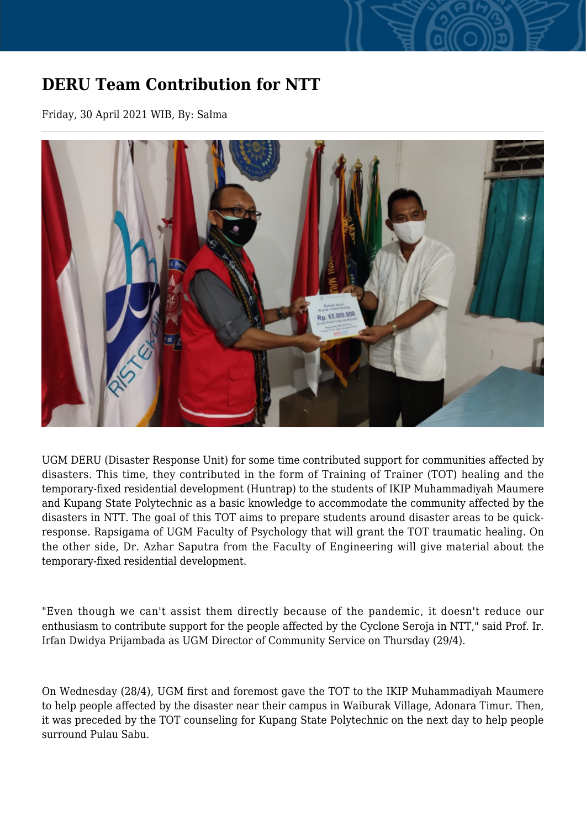## **DERU Team Contribution for NTT**

Friday, 30 April 2021 WIB, By: Salma



UGM DERU (Disaster Response Unit) for some time contributed support for communities affected by disasters. This time, they contributed in the form of Training of Trainer (TOT) healing and the temporary-fixed residential development (Huntrap) to the students of IKIP Muhammadiyah Maumere and Kupang State Polytechnic as a basic knowledge to accommodate the community affected by the disasters in NTT. The goal of this TOT aims to prepare students around disaster areas to be quickresponse. Rapsigama of UGM Faculty of Psychology that will grant the TOT traumatic healing. On the other side, Dr. Azhar Saputra from the Faculty of Engineering will give material about the temporary-fixed residential development.

"Even though we can't assist them directly because of the pandemic, it doesn't reduce our enthusiasm to contribute support for the people affected by the Cyclone Seroja in NTT," said Prof. Ir. Irfan Dwidya Prijambada as UGM Director of Community Service on Thursday (29/4).

On Wednesday (28/4), UGM first and foremost gave the TOT to the IKIP Muhammadiyah Maumere to help people affected by the disaster near their campus in Waiburak Village, Adonara Timur. Then, it was preceded by the TOT counseling for Kupang State Polytechnic on the next day to help people surround Pulau Sabu.